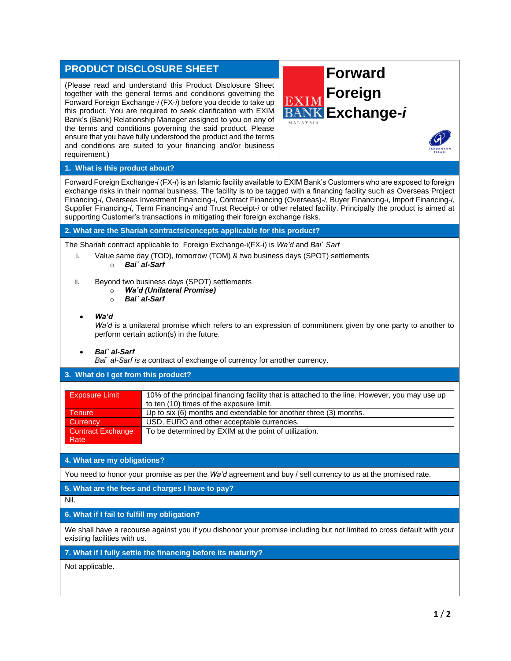| <b>PRODUCT DISCLOSURE SHEET</b>                                                                                                                                                                                                                                                                                                                                                                                                                                                                                                                                                            | <b>Forward</b>                                               |  |
|--------------------------------------------------------------------------------------------------------------------------------------------------------------------------------------------------------------------------------------------------------------------------------------------------------------------------------------------------------------------------------------------------------------------------------------------------------------------------------------------------------------------------------------------------------------------------------------------|--------------------------------------------------------------|--|
| (Please read and understand this Product Disclosure Sheet<br>together with the general terms and conditions governing the<br>Forward Foreign Exchange-i (FX-i) before you decide to take up<br>this product. You are required to seek clarification with EXIM<br>Bank's (Bank) Relationship Manager assigned to you on any of<br>the terms and conditions governing the said product. Please<br>ensure that you have fully understood the product and the terms<br>and conditions are suited to your financing and/or business<br>requirement.)                                            | <b>Foreign</b><br>EXIM<br><b>BANK Exchange-i</b><br>MALAYSIA |  |
| 1. What is this product about?                                                                                                                                                                                                                                                                                                                                                                                                                                                                                                                                                             |                                                              |  |
| Forward Foreign Exchange-i (FX-i) is an Islamic facility available to EXIM Bank's Customers who are exposed to foreign<br>exchange risks in their normal business. The facility is to be tagged with a financing facility such as Overseas Project<br>Financing-i, Overseas Investment Financing-i, Contract Financing (Overseas)-i, Buyer Financing-i, Import Financing-i,<br>Supplier Financing-i, Term Financing-i and Trust Receipt-i or other related facility. Principally the product is aimed at<br>supporting Customer's transactions in mitigating their foreign exchange risks. |                                                              |  |
| 2. What are the Shariah contracts/concepts applicable for this product?                                                                                                                                                                                                                                                                                                                                                                                                                                                                                                                    |                                                              |  |
| The Shariah contract applicable to Foreign Exchange-i(FX-i) is Wa'd and Bai` Sarf<br>Value same day (TOD), tomorrow (TOM) & two business days (SPOT) settlements<br>i.<br>Bai` al-Sarf<br>$\circ$                                                                                                                                                                                                                                                                                                                                                                                          |                                                              |  |
| Beyond two business days (SPOT) settlements<br>ii.<br>Wa'd (Unilateral Promise)<br>$\circ$<br>Bai` al-Sarf<br>$\circ$                                                                                                                                                                                                                                                                                                                                                                                                                                                                      |                                                              |  |
| Wa'd<br>Wa'd is a unilateral promise which refers to an expression of commitment given by one party to another to<br>perform certain action(s) in the future.                                                                                                                                                                                                                                                                                                                                                                                                                              |                                                              |  |
| Bai` al-Sarf<br>Bai' al-Sarf is a contract of exchange of currency for another currency.                                                                                                                                                                                                                                                                                                                                                                                                                                                                                                   |                                                              |  |
| 3. What do I get from this product?                                                                                                                                                                                                                                                                                                                                                                                                                                                                                                                                                        |                                                              |  |
| 10% of the principal financing facility that is attached to the line. However, you may use up<br><b>Exposure Limit</b><br>to ten (10) times of the exposure limit.                                                                                                                                                                                                                                                                                                                                                                                                                         |                                                              |  |
| Up to six (6) months and extendable for another three (3) months.<br><b>Tenure</b><br>USD, EURO and other acceptable currencies.<br>Currency<br>To be determined by EXIM at the point of utilization.<br><b>Contract Exchange</b><br>Rate                                                                                                                                                                                                                                                                                                                                                  |                                                              |  |
| 4. What are my obligations?                                                                                                                                                                                                                                                                                                                                                                                                                                                                                                                                                                |                                                              |  |
| You need to honor your promise as per the Wa'd agreement and buy / sell currency to us at the promised rate.                                                                                                                                                                                                                                                                                                                                                                                                                                                                               |                                                              |  |
| 5. What are the fees and charges I have to pay?                                                                                                                                                                                                                                                                                                                                                                                                                                                                                                                                            |                                                              |  |
| Nil.                                                                                                                                                                                                                                                                                                                                                                                                                                                                                                                                                                                       |                                                              |  |
| 6. What if I fail to fulfill my obligation?                                                                                                                                                                                                                                                                                                                                                                                                                                                                                                                                                |                                                              |  |
| We shall have a recourse against you if you dishonor your promise including but not limited to cross default with your<br>existing facilities with us.                                                                                                                                                                                                                                                                                                                                                                                                                                     |                                                              |  |
| 7. What if I fully settle the financing before its maturity?                                                                                                                                                                                                                                                                                                                                                                                                                                                                                                                               |                                                              |  |
| Not applicable.                                                                                                                                                                                                                                                                                                                                                                                                                                                                                                                                                                            |                                                              |  |